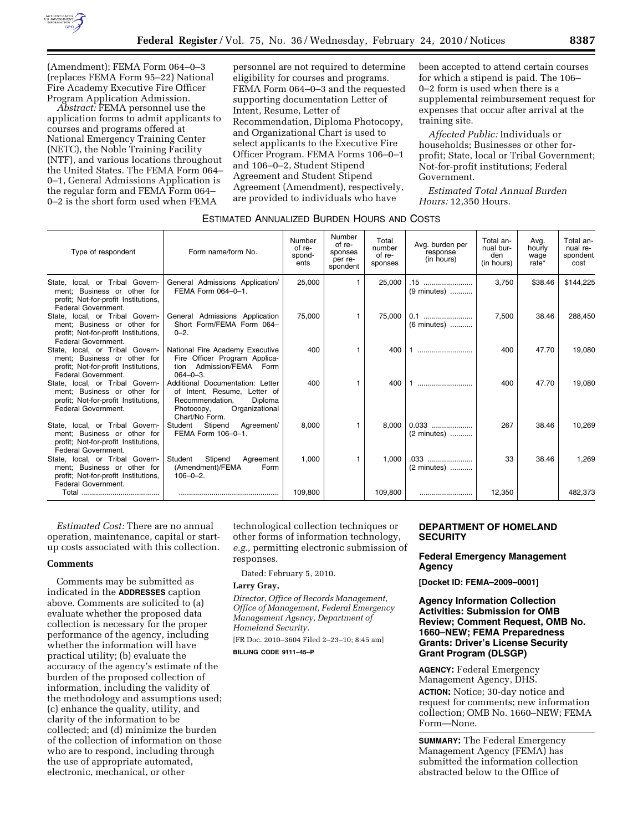

(Amendment); FEMA Form 064–0–3 (replaces FEMA Form 95–22) National Fire Academy Executive Fire Officer Program Application Admission.

*Abstract:* FEMA personnel use the application forms to admit applicants to courses and programs offered at National Emergency Training Center (NETC), the Noble Training Facility (NTF), and various locations throughout the United States. The FEMA Form 064– 0–1, General Admissions Application is the regular form and FEMA Form 064– 0–2 is the short form used when FEMA

personnel are not required to determine eligibility for courses and programs. FEMA Form 064–0–3 and the requested supporting documentation Letter of Intent, Resume, Letter of Recommendation, Diploma Photocopy, and Organizational Chart is used to select applicants to the Executive Fire Officer Program. FEMA Forms 106–0–1 and 106–0–2, Student Stipend Agreement and Student Stipend Agreement (Amendment), respectively, are provided to individuals who have

been accepted to attend certain courses for which a stipend is paid. The 106– 0–2 form is used when there is a supplemental reimbursement request for expenses that occur after arrival at the training site.

*Affected Public:* Individuals or households; Businesses or other forprofit; State, local or Tribal Government; Not-for-profit institutions; Federal Government.

*Estimated Total Annual Burden Hours:* 12,350 Hours.

| ESTIMATED ANNUALIZED BURDEN HOURS AND COSTS |  |  |
|---------------------------------------------|--|--|
|---------------------------------------------|--|--|

| Type of respondent                                                                                                            | Form name/form No.                                                                                                                               | Number<br>of re-<br>spond-<br>ents | Number<br>of re-<br>sponses<br>per re-<br>spondent | Total<br>number<br>of re-<br>sponses | Avg. burden per<br>response<br>(in hours) | Total an-<br>nual bur-<br>den<br>(in hours) | Avg.<br>hourly<br>wage<br>rate* | Total an-<br>nual re-<br>spondent<br>cost |
|-------------------------------------------------------------------------------------------------------------------------------|--------------------------------------------------------------------------------------------------------------------------------------------------|------------------------------------|----------------------------------------------------|--------------------------------------|-------------------------------------------|---------------------------------------------|---------------------------------|-------------------------------------------|
| State, local, or Tribal Govern-<br>ment: Business or other for<br>profit; Not-for-profit Institutions,<br>Federal Government. | General Admissions Application/<br>FEMA Form 064-0-1.                                                                                            | 25,000                             |                                                    | 25.000                               | .15<br>$(9 \text{ minutes})$              | 3.750                                       | \$38.46                         | \$144,225                                 |
| State, local, or Tribal Govern-<br>ment: Business or other for<br>profit; Not-for-profit Institutions,<br>Federal Government. | General Admissions Application<br>Short Form/FEMA Form 064-<br>$0 - 2.$                                                                          | 75.000                             |                                                    | 75.000                               | 0.1<br>(6 minutes)                        | 7,500                                       | 38.46                           | 288,450                                   |
| State, local, or Tribal Govern-<br>ment; Business or other for<br>profit; Not-for-profit Institutions,<br>Federal Government. | National Fire Academy Executive<br>Fire Officer Program Applica-<br>Admission/FEMA Form<br>tion<br>$064 - 0 - 3$ .                               | 400                                |                                                    | 400                                  |                                           | 400                                         | 47.70                           | 19,080                                    |
| State, local, or Tribal Govern-<br>ment: Business or other for<br>profit; Not-for-profit Institutions,<br>Federal Government. | Additional Documentation: Letter<br>of Intent, Resume, Letter of<br>Diploma<br>Recommendation.<br>Organizational<br>Photocopy,<br>Chart/No Form. | 400                                |                                                    | 400                                  |                                           | 400                                         | 47.70                           | 19,080                                    |
| State, local, or Tribal Govern-<br>ment; Business or other for<br>profit; Not-for-profit Institutions,<br>Federal Government. | Stipend<br>Student<br>Agreement/<br>FEMA Form 106-0-1.                                                                                           | 8.000                              |                                                    | 8.000                                | $0.033$<br>(2 minutes)                    | 267                                         | 38.46                           | 10.269                                    |
| State, local, or Tribal Govern-<br>ment; Business or other for<br>profit; Not-for-profit Institutions,<br>Federal Government. | Stipend<br>Student<br>Agreement<br>(Amendment)/FEMA<br>Form<br>$106 - 0 - 2$ .                                                                   | 1,000                              |                                                    | 1.000                                | .033<br>(2 minutes)                       | 33                                          | 38.46                           | 1,269                                     |
|                                                                                                                               |                                                                                                                                                  | 109,800                            |                                                    | 109.800                              |                                           | 12,350                                      |                                 | 482.373                                   |

*Estimated Cost:* There are no annual operation, maintenance, capital or startup costs associated with this collection.

## **Comments**

Comments may be submitted as indicated in the **ADDRESSES** caption above. Comments are solicited to (a) evaluate whether the proposed data collection is necessary for the proper performance of the agency, including whether the information will have practical utility; (b) evaluate the accuracy of the agency's estimate of the burden of the proposed collection of information, including the validity of the methodology and assumptions used; (c) enhance the quality, utility, and clarity of the information to be collected; and (d) minimize the burden of the collection of information on those who are to respond, including through the use of appropriate automated, electronic, mechanical, or other

technological collection techniques or other forms of information technology, *e.g.,* permitting electronic submission of responses.

Dated: February 5, 2010.

# **Larry Gray,**

*Director, Office of Records Management, Office of Management, Federal Emergency Management Agency, Department of Homeland Security.* 

[FR Doc. 2010–3604 Filed 2–23–10; 8:45 am]

**BILLING CODE 9111–45–P** 

# **DEPARTMENT OF HOMELAND SECURITY**

## **Federal Emergency Management Agency**

**[Docket ID: FEMA–2009–0001]** 

## **Agency Information Collection Activities: Submission for OMB Review; Comment Request, OMB No. 1660–NEW; FEMA Preparedness Grants: Driver's License Security Grant Program (DLSGP)**

**AGENCY:** Federal Emergency Management Agency, DHS. **ACTION:** Notice; 30-day notice and request for comments; new information collection; OMB No. 1660–NEW; FEMA Form—None.

**SUMMARY:** The Federal Emergency Management Agency (FEMA) has submitted the information collection abstracted below to the Office of